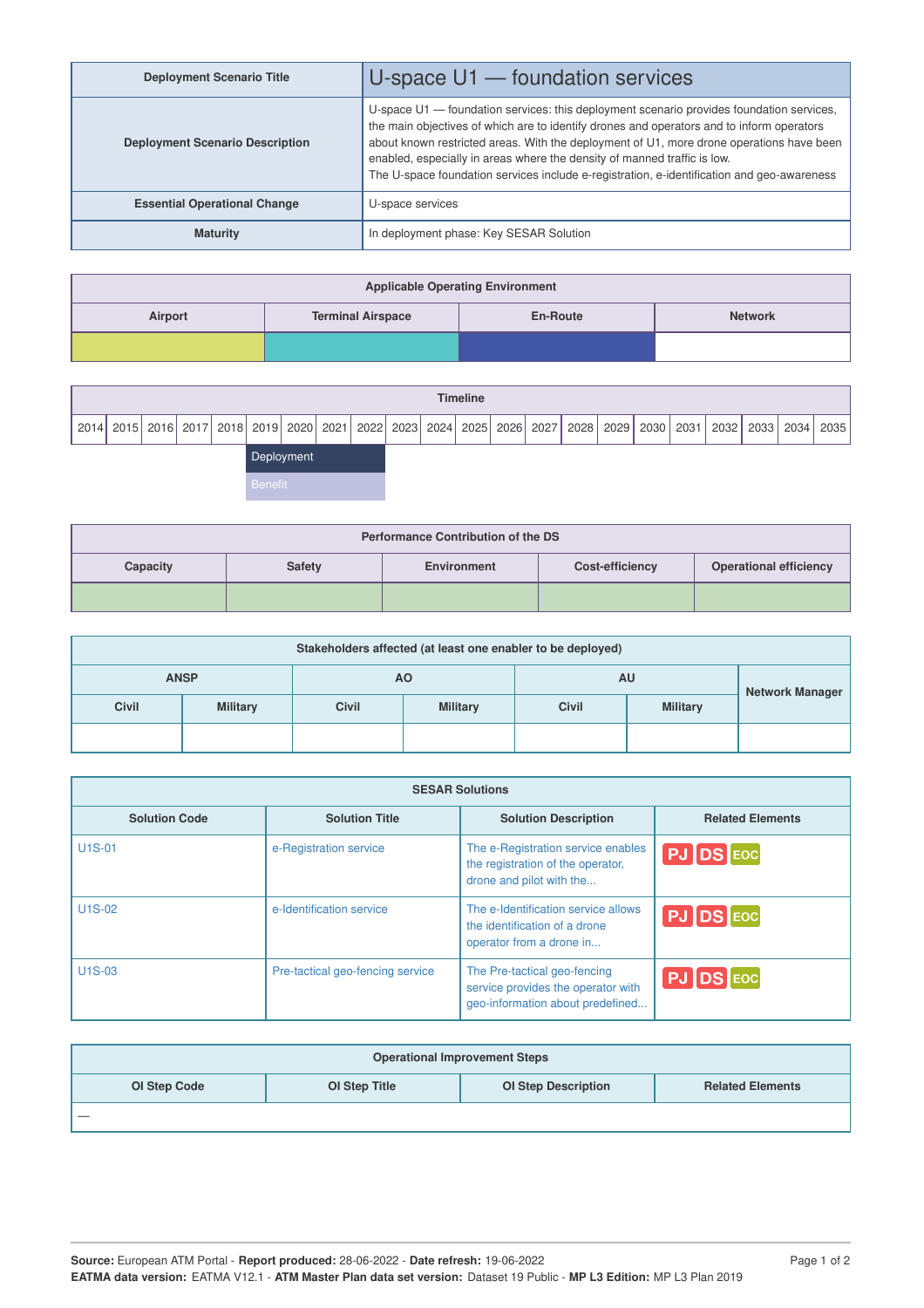| <b>Deployment Scenario Title</b>       | U-space $U1$ — foundation services                                                                                                                                                                                                                                                                                                                                                                                                                          |
|----------------------------------------|-------------------------------------------------------------------------------------------------------------------------------------------------------------------------------------------------------------------------------------------------------------------------------------------------------------------------------------------------------------------------------------------------------------------------------------------------------------|
| <b>Deployment Scenario Description</b> | U-space U1 - foundation services: this deployment scenario provides foundation services,<br>the main objectives of which are to identify drones and operators and to inform operators<br>about known restricted areas. With the deployment of U1, more drone operations have been<br>enabled, especially in areas where the density of manned traffic is low.<br>The U-space foundation services include e-registration, e-identification and geo-awareness |
| <b>Essential Operational Change</b>    | U-space services                                                                                                                                                                                                                                                                                                                                                                                                                                            |
| <b>Maturity</b>                        | In deployment phase: Key SESAR Solution                                                                                                                                                                                                                                                                                                                                                                                                                     |

| <b>Applicable Operating Environment</b> |                          |                 |                |  |  |  |
|-----------------------------------------|--------------------------|-----------------|----------------|--|--|--|
| Airport                                 | <b>Terminal Airspace</b> | <b>En-Route</b> | <b>Network</b> |  |  |  |
|                                         |                          |                 |                |  |  |  |

|                | <b>Timeline</b>                                                                                                                                         |  |  |  |  |  |  |  |  |  |  |  |  |
|----------------|---------------------------------------------------------------------------------------------------------------------------------------------------------|--|--|--|--|--|--|--|--|--|--|--|--|
|                | 2014   2015   2016   2017   2018   2019   2020   2021   2022   2023   2024   2025   2026   2027   2028   2029   2030   2031   2032   2033   2034   2035 |  |  |  |  |  |  |  |  |  |  |  |  |
| Deployment     |                                                                                                                                                         |  |  |  |  |  |  |  |  |  |  |  |  |
| <b>Benefit</b> |                                                                                                                                                         |  |  |  |  |  |  |  |  |  |  |  |  |

| <b>Performance Contribution of the DS</b>                                                           |  |  |  |  |  |  |  |  |
|-----------------------------------------------------------------------------------------------------|--|--|--|--|--|--|--|--|
| <b>Operational efficiency</b><br>Capacity<br><b>Safety</b><br><b>Cost-efficiency</b><br>Environment |  |  |  |  |  |  |  |  |
|                                                                                                     |  |  |  |  |  |  |  |  |

| Stakeholders affected (at least one enabler to be deployed) |                 |              |                 |              |                 |  |  |  |
|-------------------------------------------------------------|-----------------|--------------|-----------------|--------------|-----------------|--|--|--|
|                                                             | <b>ANSP</b>     |              | ΑO              | AU           | Network Manager |  |  |  |
| <b>Civil</b>                                                | <b>Military</b> | <b>Civil</b> | <b>Military</b> | <b>Civil</b> | <b>Military</b> |  |  |  |
|                                                             |                 |              |                 |              |                 |  |  |  |

| <b>SESAR Solutions</b> |                                  |                                                                                                        |                         |  |  |  |  |
|------------------------|----------------------------------|--------------------------------------------------------------------------------------------------------|-------------------------|--|--|--|--|
| <b>Solution Code</b>   | <b>Solution Title</b>            | <b>Solution Description</b>                                                                            | <b>Related Elements</b> |  |  |  |  |
| <b>U1S-01</b>          | e-Registration service           | The e-Registration service enables<br>the registration of the operator,<br>drone and pilot with the    | $PJ$ DS $Eoc$           |  |  |  |  |
| U1S-02                 | e-Identification service         | The e-Identification service allows<br>the identification of a drone<br>operator from a drone in       | <b>PJ DS</b> EOC        |  |  |  |  |
| U <sub>1</sub> S-03    | Pre-tactical geo-fencing service | The Pre-tactical geo-fencing<br>service provides the operator with<br>geo-information about predefined | <b>PJ DS</b> EOC        |  |  |  |  |

| <b>Operational Improvement Steps</b> |                                                                        |  |  |  |  |  |  |  |  |
|--------------------------------------|------------------------------------------------------------------------|--|--|--|--|--|--|--|--|
| OI Step Code                         | <b>OI Step Description</b><br>OI Step Title<br><b>Related Elements</b> |  |  |  |  |  |  |  |  |
|                                      |                                                                        |  |  |  |  |  |  |  |  |